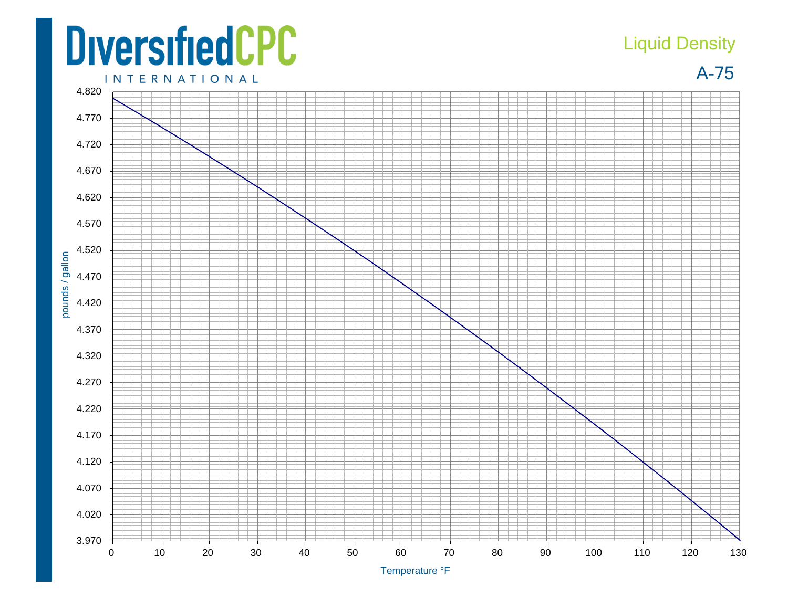## **DiversifiedCPC INTERNATIONAL**

## Liquid Density

A-75